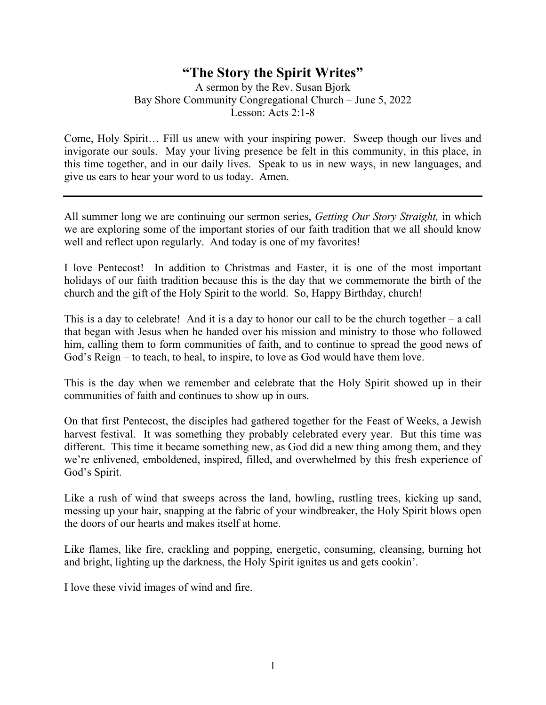## **"The Story the Spirit Writes"**

A sermon by the Rev. Susan Bjork Bay Shore Community Congregational Church – June 5, 2022 Lesson: Acts 2:1-8

Come, Holy Spirit… Fill us anew with your inspiring power. Sweep though our lives and invigorate our souls. May your living presence be felt in this community, in this place, in this time together, and in our daily lives. Speak to us in new ways, in new languages, and give us ears to hear your word to us today. Amen.

All summer long we are continuing our sermon series, *Getting Our Story Straight,* in which we are exploring some of the important stories of our faith tradition that we all should know well and reflect upon regularly. And today is one of my favorites!

I love Pentecost! In addition to Christmas and Easter, it is one of the most important holidays of our faith tradition because this is the day that we commemorate the birth of the church and the gift of the Holy Spirit to the world. So, Happy Birthday, church!

This is a day to celebrate! And it is a day to honor our call to be the church together  $-$  a call that began with Jesus when he handed over his mission and ministry to those who followed him, calling them to form communities of faith, and to continue to spread the good news of God's Reign – to teach, to heal, to inspire, to love as God would have them love.

This is the day when we remember and celebrate that the Holy Spirit showed up in their communities of faith and continues to show up in ours.

On that first Pentecost, the disciples had gathered together for the Feast of Weeks, a Jewish harvest festival. It was something they probably celebrated every year. But this time was different. This time it became something new, as God did a new thing among them, and they we're enlivened, emboldened, inspired, filled, and overwhelmed by this fresh experience of God's Spirit.

Like a rush of wind that sweeps across the land, howling, rustling trees, kicking up sand, messing up your hair, snapping at the fabric of your windbreaker, the Holy Spirit blows open the doors of our hearts and makes itself at home.

Like flames, like fire, crackling and popping, energetic, consuming, cleansing, burning hot and bright, lighting up the darkness, the Holy Spirit ignites us and gets cookin'.

I love these vivid images of wind and fire.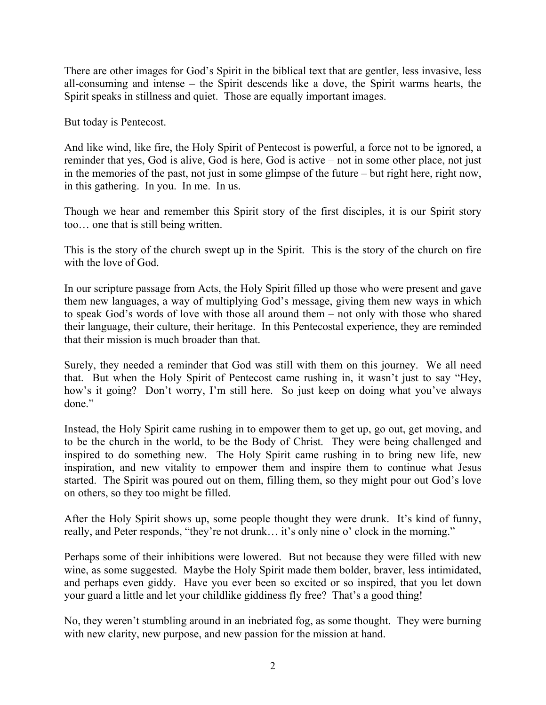There are other images for God's Spirit in the biblical text that are gentler, less invasive, less all-consuming and intense – the Spirit descends like a dove, the Spirit warms hearts, the Spirit speaks in stillness and quiet. Those are equally important images.

But today is Pentecost.

And like wind, like fire, the Holy Spirit of Pentecost is powerful, a force not to be ignored, a reminder that yes, God is alive, God is here, God is active – not in some other place, not just in the memories of the past, not just in some glimpse of the future – but right here, right now, in this gathering. In you. In me. In us.

Though we hear and remember this Spirit story of the first disciples, it is our Spirit story too… one that is still being written.

This is the story of the church swept up in the Spirit. This is the story of the church on fire with the love of God.

In our scripture passage from Acts, the Holy Spirit filled up those who were present and gave them new languages, a way of multiplying God's message, giving them new ways in which to speak God's words of love with those all around them – not only with those who shared their language, their culture, their heritage. In this Pentecostal experience, they are reminded that their mission is much broader than that.

Surely, they needed a reminder that God was still with them on this journey. We all need that. But when the Holy Spirit of Pentecost came rushing in, it wasn't just to say "Hey, how's it going? Don't worry, I'm still here. So just keep on doing what you've always done."

Instead, the Holy Spirit came rushing in to empower them to get up, go out, get moving, and to be the church in the world, to be the Body of Christ. They were being challenged and inspired to do something new. The Holy Spirit came rushing in to bring new life, new inspiration, and new vitality to empower them and inspire them to continue what Jesus started. The Spirit was poured out on them, filling them, so they might pour out God's love on others, so they too might be filled.

After the Holy Spirit shows up, some people thought they were drunk. It's kind of funny, really, and Peter responds, "they're not drunk… it's only nine o' clock in the morning."

Perhaps some of their inhibitions were lowered. But not because they were filled with new wine, as some suggested. Maybe the Holy Spirit made them bolder, braver, less intimidated, and perhaps even giddy. Have you ever been so excited or so inspired, that you let down your guard a little and let your childlike giddiness fly free? That's a good thing!

No, they weren't stumbling around in an inebriated fog, as some thought. They were burning with new clarity, new purpose, and new passion for the mission at hand.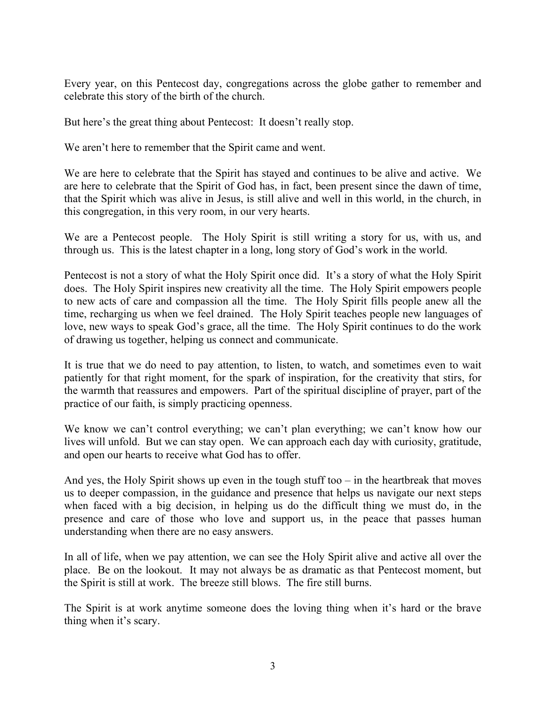Every year, on this Pentecost day, congregations across the globe gather to remember and celebrate this story of the birth of the church.

But here's the great thing about Pentecost: It doesn't really stop.

We aren't here to remember that the Spirit came and went.

We are here to celebrate that the Spirit has stayed and continues to be alive and active. We are here to celebrate that the Spirit of God has, in fact, been present since the dawn of time, that the Spirit which was alive in Jesus, is still alive and well in this world, in the church, in this congregation, in this very room, in our very hearts.

We are a Pentecost people. The Holy Spirit is still writing a story for us, with us, and through us. This is the latest chapter in a long, long story of God's work in the world.

Pentecost is not a story of what the Holy Spirit once did. It's a story of what the Holy Spirit does. The Holy Spirit inspires new creativity all the time. The Holy Spirit empowers people to new acts of care and compassion all the time. The Holy Spirit fills people anew all the time, recharging us when we feel drained. The Holy Spirit teaches people new languages of love, new ways to speak God's grace, all the time. The Holy Spirit continues to do the work of drawing us together, helping us connect and communicate.

It is true that we do need to pay attention, to listen, to watch, and sometimes even to wait patiently for that right moment, for the spark of inspiration, for the creativity that stirs, for the warmth that reassures and empowers. Part of the spiritual discipline of prayer, part of the practice of our faith, is simply practicing openness.

We know we can't control everything; we can't plan everything; we can't know how our lives will unfold. But we can stay open. We can approach each day with curiosity, gratitude, and open our hearts to receive what God has to offer.

And yes, the Holy Spirit shows up even in the tough stuff too  $-$  in the heartbreak that moves us to deeper compassion, in the guidance and presence that helps us navigate our next steps when faced with a big decision, in helping us do the difficult thing we must do, in the presence and care of those who love and support us, in the peace that passes human understanding when there are no easy answers.

In all of life, when we pay attention, we can see the Holy Spirit alive and active all over the place. Be on the lookout. It may not always be as dramatic as that Pentecost moment, but the Spirit is still at work. The breeze still blows. The fire still burns.

The Spirit is at work anytime someone does the loving thing when it's hard or the brave thing when it's scary.